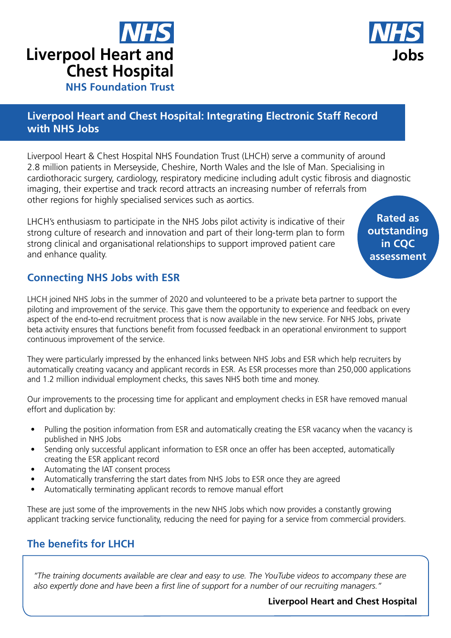



## **Liverpool Heart and Chest Hospital: Integrating Electronic Staff Record with NHS Jobs**

Liverpool Heart & Chest Hospital NHS Foundation Trust (LHCH) serve a community of around 2.8 million patients in Merseyside, Cheshire, North Wales and the Isle of Man. Specialising in cardiothoracic surgery, cardiology, respiratory medicine including adult cystic fibrosis and diagnostic imaging, their expertise and track record attracts an increasing number of referrals from other regions for highly specialised services such as aortics.

LHCH's enthusiasm to participate in the NHS Jobs pilot activity is indicative of their strong culture of research and innovation and part of their long-term plan to form strong clinical and organisational relationships to support improved patient care and enhance quality.

**Rated as outstanding in CQC assessment**

## **Connecting NHS Jobs with ESR**

LHCH joined NHS Jobs in the summer of 2020 and volunteered to be a private beta partner to support the piloting and improvement of the service. This gave them the opportunity to experience and feedback on every aspect of the end-to-end recruitment process that is now available in the new service. For NHS Jobs, private beta activity ensures that functions benefit from focussed feedback in an operational environment to support continuous improvement of the service.

They were particularly impressed by the enhanced links between NHS Jobs and ESR which help recruiters by automatically creating vacancy and applicant records in ESR. As ESR processes more than 250,000 applications and 1.2 million individual employment checks, this saves NHS both time and money.

Our improvements to the processing time for applicant and employment checks in ESR have removed manual effort and duplication by:

- Pulling the position information from ESR and automatically creating the ESR vacancy when the vacancy is published in NHS Jobs
- Sending only successful applicant information to ESR once an offer has been accepted, automatically creating the ESR applicant record
- Automating the IAT consent process
- Automatically transferring the start dates from NHS Jobs to ESR once they are agreed
- Automatically terminating applicant records to remove manual effort

These are just some of the improvements in the new NHS Jobs which now provides a constantly growing applicant tracking service functionality, reducing the need for paying for a service from commercial providers.

## **The benefits for LHCH**

*"The training documents available are clear and easy to use. The YouTube videos to accompany these are also expertly done and have been a first line of support for a number of our recruiting managers."*

**Liverpool Heart and Chest Hospital**